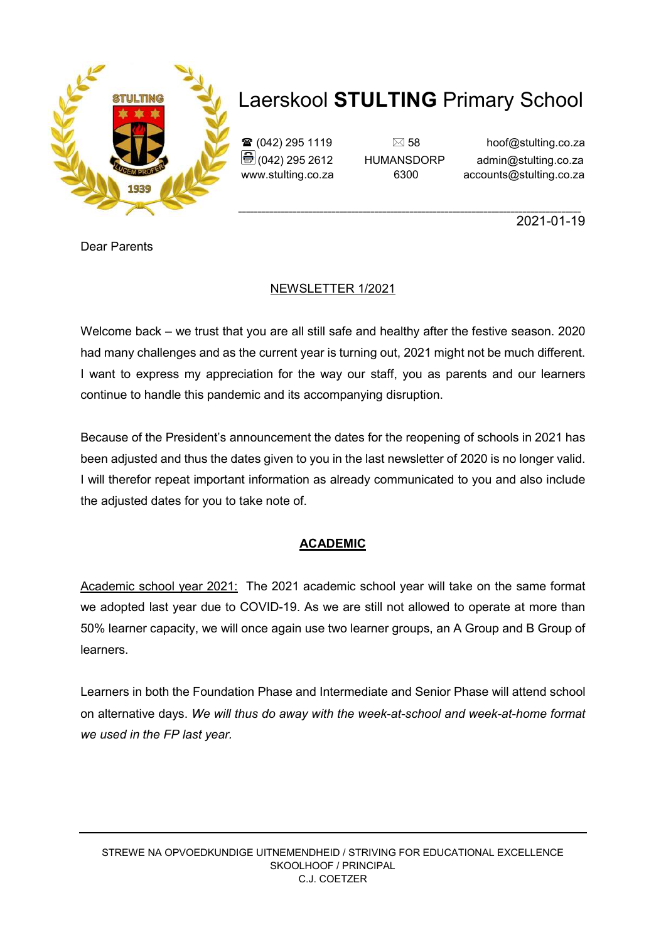

 $\mathbf{\widehat{a}}$  (042) 295 1119  $\Box$  58 hoof@stulting.co.za  $\bigcirc$  (042) 295 2612 HUMANSDORP admin@stulting.co.za www.stulting.co.za 6300 accounts@stulting.co.za

**\_\_\_\_\_\_\_\_\_\_\_\_\_\_\_\_\_\_\_\_\_\_\_\_\_\_\_\_\_\_\_\_\_\_\_\_\_\_\_\_\_\_\_\_\_\_\_\_\_\_\_\_\_\_\_\_\_\_\_\_\_\_\_\_\_\_\_\_\_\_\_\_\_\_\_\_\_\_\_\_\_\_\_\_\_\_\_\_** 2021-01-19

Dear Parents

## NEWSLETTER 1/2021

Welcome back – we trust that you are all still safe and healthy after the festive season. 2020 had many challenges and as the current year is turning out, 2021 might not be much different. I want to express my appreciation for the way our staff, you as parents and our learners continue to handle this pandemic and its accompanying disruption.

Because of the President's announcement the dates for the reopening of schools in 2021 has been adjusted and thus the dates given to you in the last newsletter of 2020 is no longer valid. I will therefor repeat important information as already communicated to you and also include the adjusted dates for you to take note of.

## **ACADEMIC**

Academic school year 2021: The 2021 academic school year will take on the same format we adopted last year due to COVID-19. As we are still not allowed to operate at more than 50% learner capacity, we will once again use two learner groups, an A Group and B Group of learners.

Learners in both the Foundation Phase and Intermediate and Senior Phase will attend school on alternative days. *We will thus do away with the week-at-school and week-at-home format we used in the FP last year.*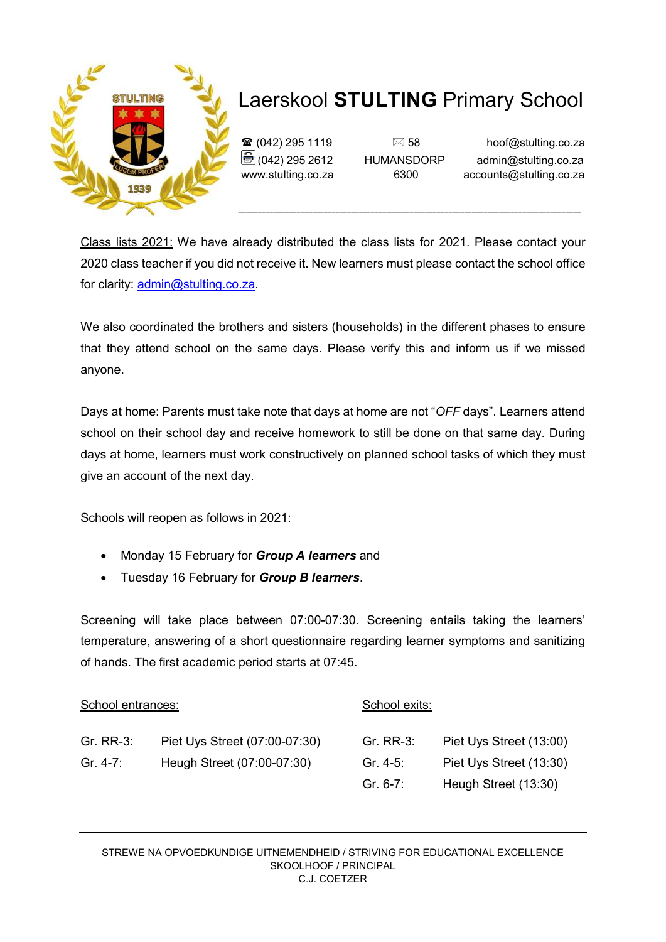

 $\mathbf{\hat{\mathbf{x}}}$  (042) 295 1119  $\Box$  58 hoof@stulting.co.za  $\bigcirc$  (042) 295 2612 HUMANSDORP admin@stulting.co.za www.stulting.co.za 6300 accounts@stulting.co.za

Class lists 2021: We have already distributed the class lists for 2021. Please contact your 2020 class teacher if you did not receive it. New learners must please contact the school office for clarity: admin@stulting.co.za.

We also coordinated the brothers and sisters (households) in the different phases to ensure that they attend school on the same days. Please verify this and inform us if we missed anyone.

Days at home: Parents must take note that days at home are not "*OFF* days". Learners attend school on their school day and receive homework to still be done on that same day. During days at home, learners must work constructively on planned school tasks of which they must give an account of the next day.

Schools will reopen as follows in 2021:

- Monday 15 February for *Group A learners* and
- Tuesday 16 February for *Group B learners*.

Screening will take place between 07:00-07:30. Screening entails taking the learners' temperature, answering of a short questionnaire regarding learner symptoms and sanitizing of hands. The first academic period starts at 07:45.

| School entrances: |                               | School exits: |                         |
|-------------------|-------------------------------|---------------|-------------------------|
| Gr. RR-3:         | Piet Uys Street (07:00-07:30) | Gr. RR-3:     | Piet Uys Street (13:00) |
| Gr. $4-7$ :       | Heugh Street (07:00-07:30)    | Gr. 4-5:      | Piet Uys Street (13:30) |
|                   |                               | Gr. 6-7:      | Heugh Street (13:30)    |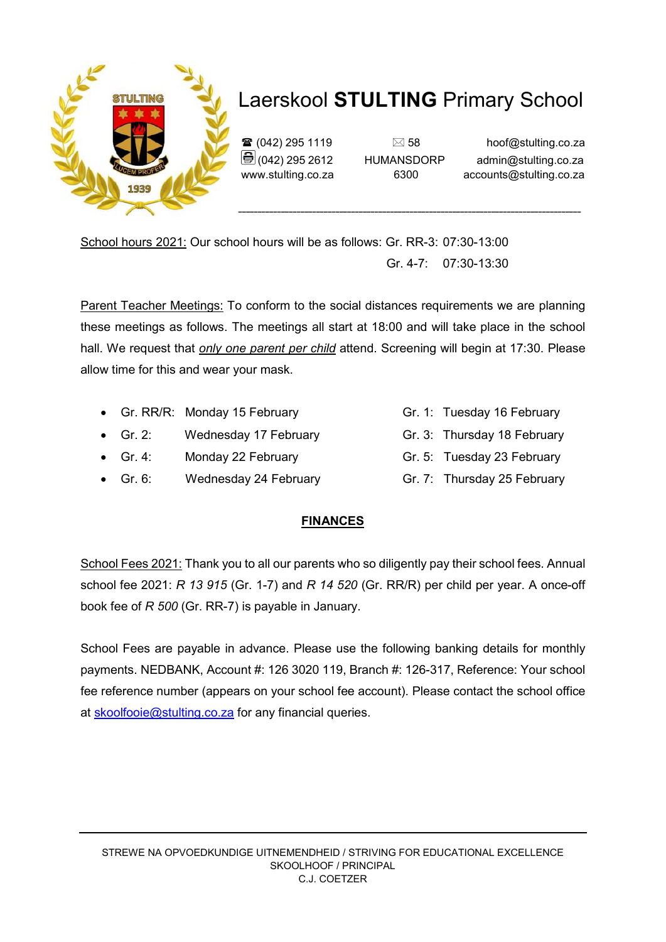

 $\mathbf{\widehat{a}}$  (042) 295 1119  $\Box$  58 hoof@stulting.co.za  $\bigoplus$  (042) 295 2612 HUMANSDORP admin@stulting.co.za www.stulting.co.za 6300 accounts@stulting.co.za

School hours 2021: Our school hours will be as follows: Gr. RR-3: 07:30-13:00 Gr. 4-7: 07:30-13:30

Parent Teacher Meetings: To conform to the social distances requirements we are planning these meetings as follows. The meetings all start at 18:00 and will take place in the school hall. We request that *only one parent per child* attend. Screening will begin at 17:30. Please allow time for this and wear your mask.

- Gr. RR/R: Monday 15 February Gr. 1: Tuesday 16 February
- Gr. 2: Wednesday 17 February Gr. 3: Thursday 18 February
- Gr. 4: Monday 22 February Gr. 5: Tuesday 23 February
- Gr. 6: Wednesday 24 February Gr. 7: Thursday 25 February

#### **FINANCES**

School Fees 2021: Thank you to all our parents who so diligently pay their school fees. Annual school fee 2021: *R 13 915* (Gr. 1-7) and *R 14 520* (Gr. RR/R) per child per year. A once-off book fee of *R 500* (Gr. RR-7) is payable in January.

School Fees are payable in advance. Please use the following banking details for monthly payments. NEDBANK, Account #: 126 3020 119, Branch #: 126-317, Reference: Your school fee reference number (appears on your school fee account). Please contact the school office at skoolfooie@stulting.co.za for any financial queries.

- 
- 
- 
-